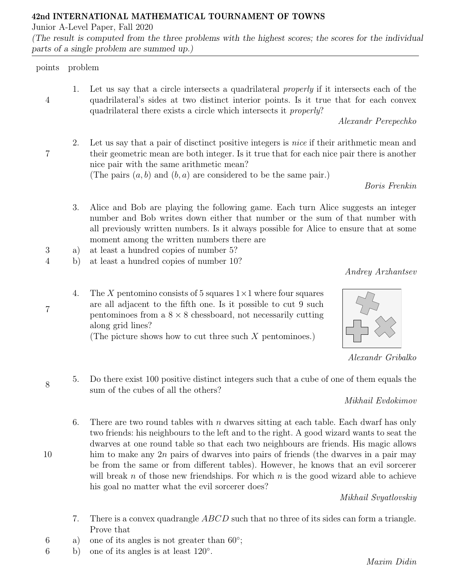## 42nd INTERNATIONAL MATHEMATICAL TOURNAMENT OF TOWNS

Junior A-Level Paper, Fall 2020

(The result is computed from the three problems with the highest scores; the scores for the individual parts of a single problem are summed up.)

## points problem

4

7

7

8

10

1. Let us say that a circle intersects a quadrilateral properly if it intersects each of the quadrilateral's sides at two distinct interior points. Is it true that for each convex quadrilateral there exists a circle which intersects it properly?

Alexandr Perepechko

2. Let us say that a pair of disctinct positive integers is nice if their arithmetic mean and their geometric mean are both integer. Is it true that for each nice pair there is another nice pair with the same arithmetic mean? (The pairs  $(a, b)$  and  $(b, a)$  are considered to be the same pair.)

Boris Frenkin

- 3. Alice and Bob are playing the following game. Each turn Alice suggests an integer number and Bob writes down either that number or the sum of that number with all previously written numbers. Is it always possible for Alice to ensure that at some moment among the written numbers there are
- 3 a) at least a hundred copies of number 5?
- 4 b) at least a hundred copies of number 10?

Andrey Arzhantsev

4. The X pentomino consists of 5 squares  $1\times1$  where four squares are all adjacent to the fifth one. Is it possible to cut 9 such pentominoes from a  $8 \times 8$  chessboard, not necessarily cutting along grid lines?

(The picture shows how to cut three such  $X$  pentominoes.)



Alexandr Gribalko

5. Do there exist 100 positive distinct integers such that a cube of one of them equals the sum of the cubes of all the others?

Mikhail Evdokimov

6. There are two round tables with n dwarves sitting at each table. Each dwarf has only two friends: his neighbours to the left and to the right. A good wizard wants to seat the dwarves at one round table so that each two neighbours are friends. His magic allows him to make any 2n pairs of dwarves into pairs of friends (the dwarves in a pair may be from the same or from different tables). However, he knows that an evil sorcerer will break n of those new friendships. For which n is the good wizard able to achieve his goal no matter what the evil sorcerer does?

Mikhail Svyatlovskiy

- 7. There is a convex quadrangle ABCD such that no three of its sides can form a triangle. Prove that
- 6 a) one of its angles is not greater than  $60^\circ$ ;
- 6 b) one of its angles is at least  $120^\circ$ .